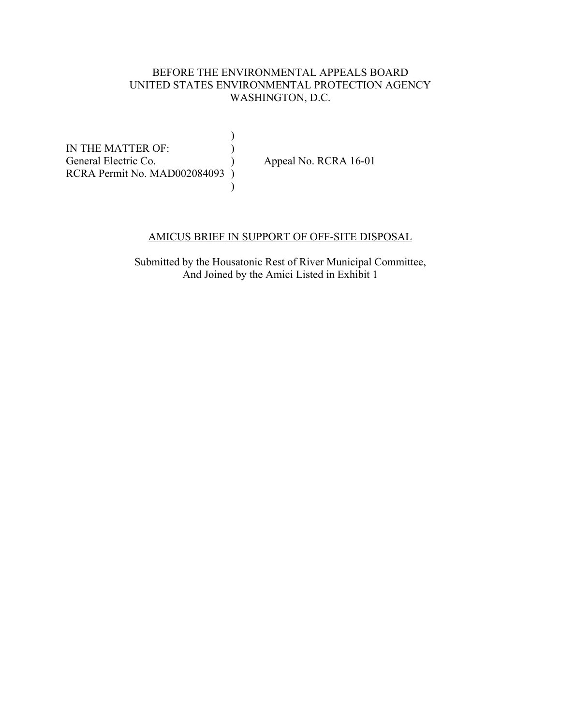## BEFORE THE ENVIRONMENTAL APPEALS BOARD UNITED STATES ENVIRONMENTAL PROTECTION AGENCY WASHINGTON, D.C.

 $)$ IN THE MATTER OF: General Electric Co. (a) Appeal No. RCRA 16-01 RCRA Permit No. MAD002084093 )  $)$ 

### AMICUS BRIEF IN SUPPORT OF OFF-SITE DISPOSAL

Submitted by the Housatonic Rest of River Municipal Committee, And Joined by the Amici Listed in Exhibit 1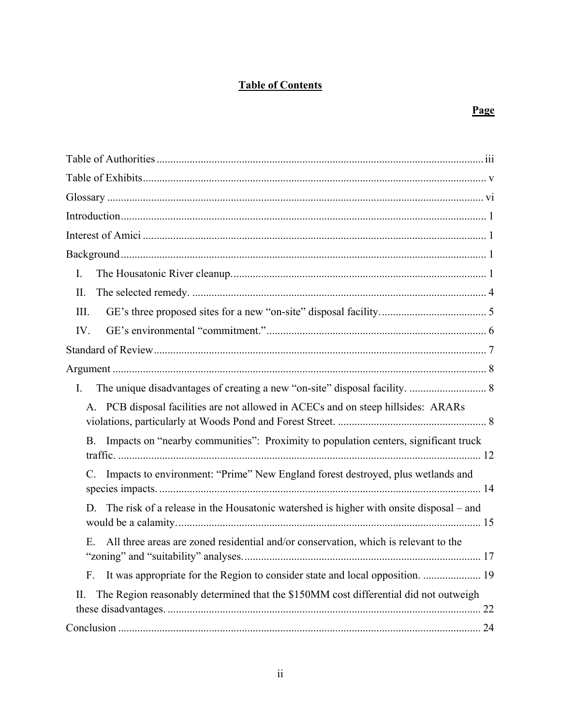## **Table of Contents**

## **Page**

| I.                                                                                           |
|----------------------------------------------------------------------------------------------|
| П.                                                                                           |
| III.                                                                                         |
| IV.                                                                                          |
|                                                                                              |
|                                                                                              |
| I.                                                                                           |
| A. PCB disposal facilities are not allowed in ACECs and on steep hillsides: ARARs            |
| Impacts on "nearby communities": Proximity to population centers, significant truck<br>B.    |
| Impacts to environment: "Prime" New England forest destroyed, plus wetlands and<br>C.        |
| The risk of a release in the Housatonic watershed is higher with onsite disposal – and<br>D. |
| All three areas are zoned residential and/or conservation, which is relevant to the<br>Ε.    |
| It was appropriate for the Region to consider state and local opposition.  19<br>F.          |
| The Region reasonably determined that the \$150MM cost differential did not outweigh<br>П.   |
|                                                                                              |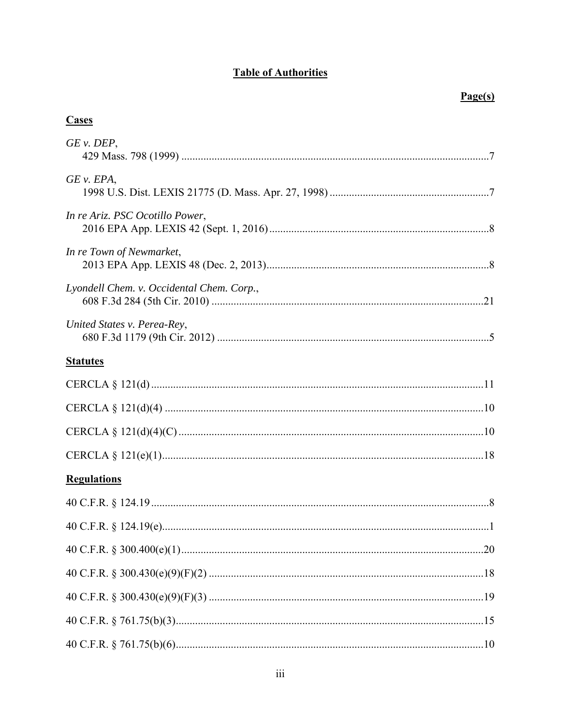# **Table of Authorities**

## **Cases**

| GE v. DEP,                                |
|-------------------------------------------|
| $GE$ v. $EPA$ ,                           |
| In re Ariz. PSC Ocotillo Power,           |
| In re Town of Newmarket,                  |
| Lyondell Chem. v. Occidental Chem. Corp., |
| United States v. Perea-Rey,               |
| <b>Statutes</b>                           |
|                                           |
|                                           |
|                                           |
|                                           |
| <b>Regulations</b>                        |
|                                           |
|                                           |
|                                           |
|                                           |
|                                           |
|                                           |
|                                           |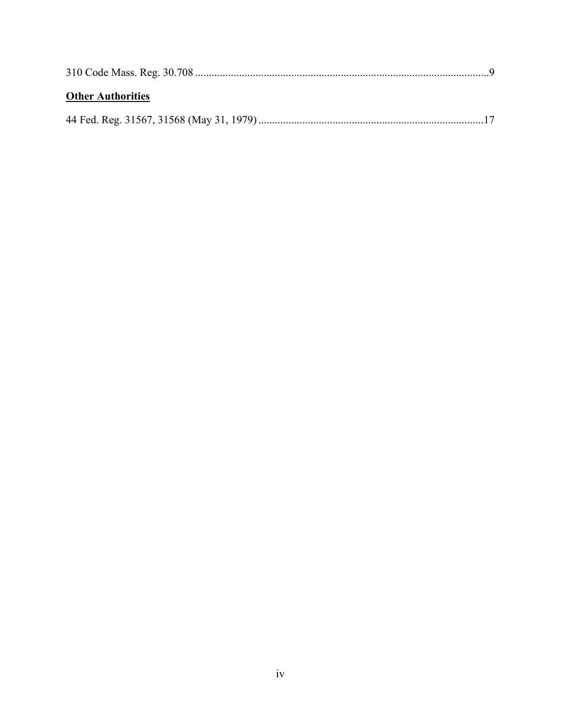| <b>Other Authorities</b> |  |
|--------------------------|--|
|                          |  |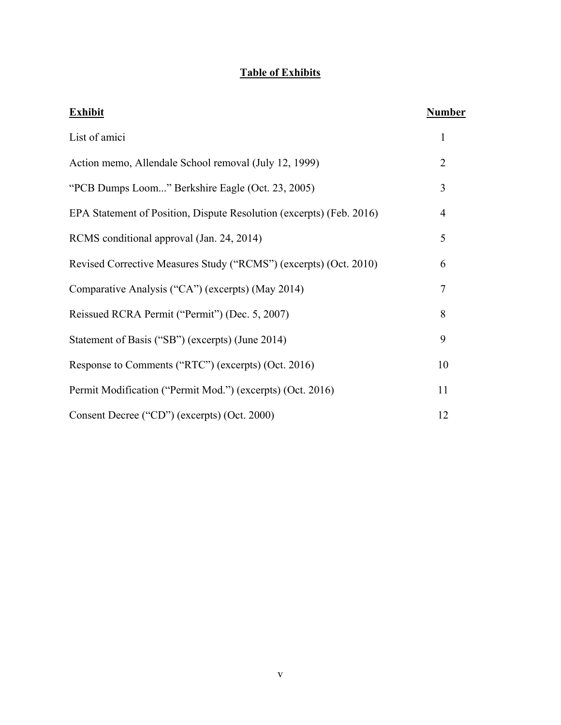# **Table of Exhibits**

| <b>Exhibit</b>                                                       | Number         |
|----------------------------------------------------------------------|----------------|
| List of amici                                                        | 1              |
| Action memo, Allendale School removal (July 12, 1999)                | $\overline{2}$ |
| "PCB Dumps Loom" Berkshire Eagle (Oct. 23, 2005)                     | 3              |
| EPA Statement of Position, Dispute Resolution (excerpts) (Feb. 2016) | $\overline{4}$ |
| RCMS conditional approval (Jan. 24, 2014)                            | 5              |
| Revised Corrective Measures Study ("RCMS") (excerpts) (Oct. 2010)    | 6              |
| Comparative Analysis ("CA") (excerpts) (May 2014)                    | 7              |
| Reissued RCRA Permit ("Permit") (Dec. 5, 2007)                       | 8              |
| Statement of Basis ("SB") (excerpts) (June 2014)                     | 9              |
| Response to Comments ("RTC") (excerpts) (Oct. 2016)                  | 10             |
| Permit Modification ("Permit Mod.") (excerpts) (Oct. 2016)           | 11             |
| Consent Decree ("CD") (excerpts) (Oct. 2000)                         | 12             |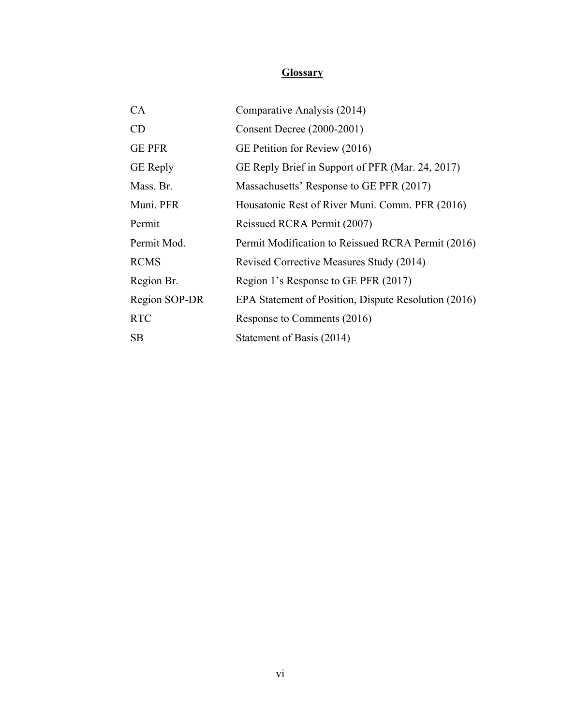# **Glossary**

| CA              | Comparative Analysis (2014)                          |
|-----------------|------------------------------------------------------|
| CD              | Consent Decree (2000-2001)                           |
| <b>GE PFR</b>   | GE Petition for Review (2016)                        |
| <b>GE</b> Reply | GE Reply Brief in Support of PFR (Mar. 24, 2017)     |
| Mass. Br.       | Massachusetts' Response to GE PFR (2017)             |
| Muni. PFR       | Housatonic Rest of River Muni. Comm. PFR (2016)      |
| Permit          | Reissued RCRA Permit (2007)                          |
| Permit Mod.     | Permit Modification to Reissued RCRA Permit (2016)   |
| <b>RCMS</b>     | Revised Corrective Measures Study (2014)             |
| Region Br.      | Region 1's Response to GE PFR (2017)                 |
| Region SOP-DR   | EPA Statement of Position, Dispute Resolution (2016) |
| <b>RTC</b>      | Response to Comments (2016)                          |
| SB              | Statement of Basis (2014)                            |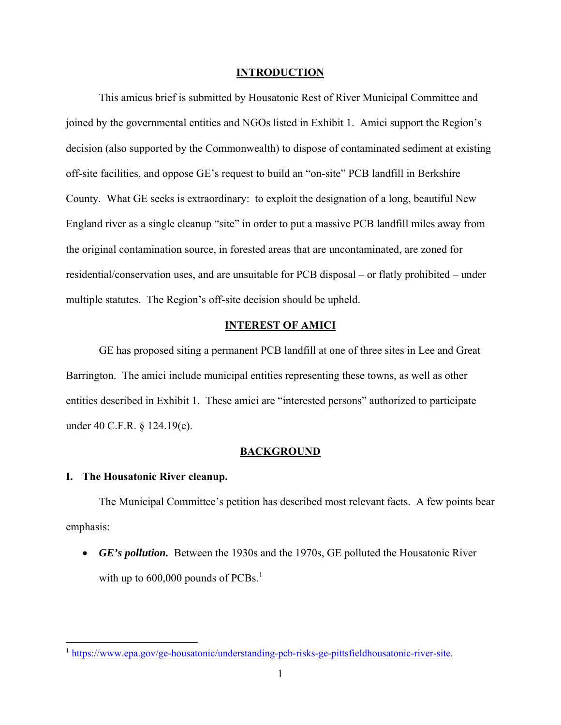#### **INTRODUCTION**

This amicus brief is submitted by Housatonic Rest of River Municipal Committee and joined by the governmental entities and NGOs listed in Exhibit 1. Amici support the Region's decision (also supported by the Commonwealth) to dispose of contaminated sediment at existing off-site facilities, and oppose GE's request to build an "on-site" PCB landfill in Berkshire County. What GE seeks is extraordinary: to exploit the designation of a long, beautiful New England river as a single cleanup "site" in order to put a massive PCB landfill miles away from the original contamination source, in forested areas that are uncontaminated, are zoned for residential/conservation uses, and are unsuitable for PCB disposal – or flatly prohibited – under multiple statutes. The Region's off-site decision should be upheld.

### **INTEREST OF AMICI**

GE has proposed siting a permanent PCB landfill at one of three sites in Lee and Great Barrington. The amici include municipal entities representing these towns, as well as other entities described in Exhibit 1. These amici are "interested persons" authorized to participate under 40 C.F.R. § 124.19(e).

#### **BACKGROUND**

### **I. The Housatonic River cleanup.**

The Municipal Committee's petition has described most relevant facts. A few points bear emphasis:

 *GE's pollution.* Between the 1930s and the 1970s, GE polluted the Housatonic River with up to  $600,000$  pounds of PCBs.<sup>1</sup>

<sup>1</sup> https://www.epa.gov/ge-housatonic/understanding-pcb-risks-ge-pittsfieldhousatonic-river-site.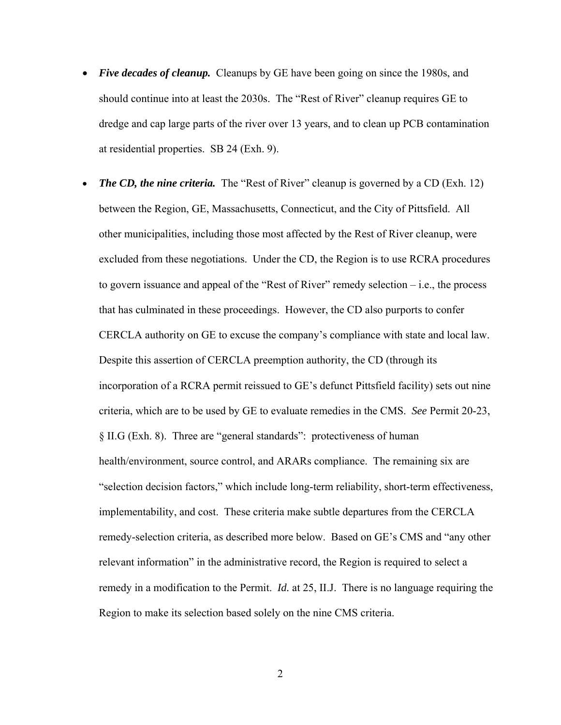- *Five decades of cleanup.* Cleanups by GE have been going on since the 1980s, and should continue into at least the 2030s. The "Rest of River" cleanup requires GE to dredge and cap large parts of the river over 13 years, and to clean up PCB contamination at residential properties. SB 24 (Exh. 9).
- *The CD, the nine criteria.* The "Rest of River" cleanup is governed by a CD (Exh. 12) between the Region, GE, Massachusetts, Connecticut, and the City of Pittsfield. All other municipalities, including those most affected by the Rest of River cleanup, were excluded from these negotiations. Under the CD, the Region is to use RCRA procedures to govern issuance and appeal of the "Rest of River" remedy selection – i.e., the process that has culminated in these proceedings. However, the CD also purports to confer CERCLA authority on GE to excuse the company's compliance with state and local law. Despite this assertion of CERCLA preemption authority, the CD (through its incorporation of a RCRA permit reissued to GE's defunct Pittsfield facility) sets out nine criteria, which are to be used by GE to evaluate remedies in the CMS. *See* Permit 20-23, § II.G (Exh. 8). Three are "general standards": protectiveness of human health/environment, source control, and ARARs compliance. The remaining six are "selection decision factors," which include long-term reliability, short-term effectiveness, implementability, and cost. These criteria make subtle departures from the CERCLA remedy-selection criteria, as described more below. Based on GE's CMS and "any other relevant information" in the administrative record, the Region is required to select a remedy in a modification to the Permit. *Id.* at 25, II.J. There is no language requiring the Region to make its selection based solely on the nine CMS criteria.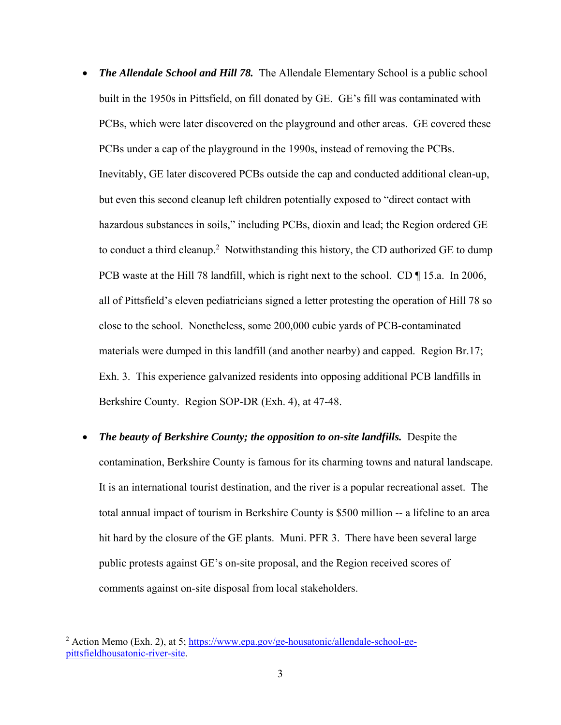- *The Allendale School and Hill 78*. The Allendale Elementary School is a public school built in the 1950s in Pittsfield, on fill donated by GE. GE's fill was contaminated with PCBs, which were later discovered on the playground and other areas. GE covered these PCBs under a cap of the playground in the 1990s, instead of removing the PCBs. Inevitably, GE later discovered PCBs outside the cap and conducted additional clean-up, but even this second cleanup left children potentially exposed to "direct contact with hazardous substances in soils," including PCBs, dioxin and lead; the Region ordered GE to conduct a third cleanup.<sup>2</sup> Notwithstanding this history, the CD authorized GE to dump PCB waste at the Hill 78 landfill, which is right next to the school. CD ¶ 15.a. In 2006, all of Pittsfield's eleven pediatricians signed a letter protesting the operation of Hill 78 so close to the school. Nonetheless, some 200,000 cubic yards of PCB-contaminated materials were dumped in this landfill (and another nearby) and capped. Region Br.17; Exh. 3. This experience galvanized residents into opposing additional PCB landfills in Berkshire County. Region SOP-DR (Exh. 4), at 47-48.
- *The beauty of Berkshire County; the opposition to on-site landfills.* **Despite the** contamination, Berkshire County is famous for its charming towns and natural landscape. It is an international tourist destination, and the river is a popular recreational asset. The total annual impact of tourism in Berkshire County is \$500 million -- a lifeline to an area hit hard by the closure of the GE plants. Muni. PFR 3. There have been several large public protests against GE's on-site proposal, and the Region received scores of comments against on-site disposal from local stakeholders.

<sup>&</sup>lt;sup>2</sup> Action Memo (Exh. 2), at 5; https://www.epa.gov/ge-housatonic/allendale-school-gepittsfieldhousatonic-river-site.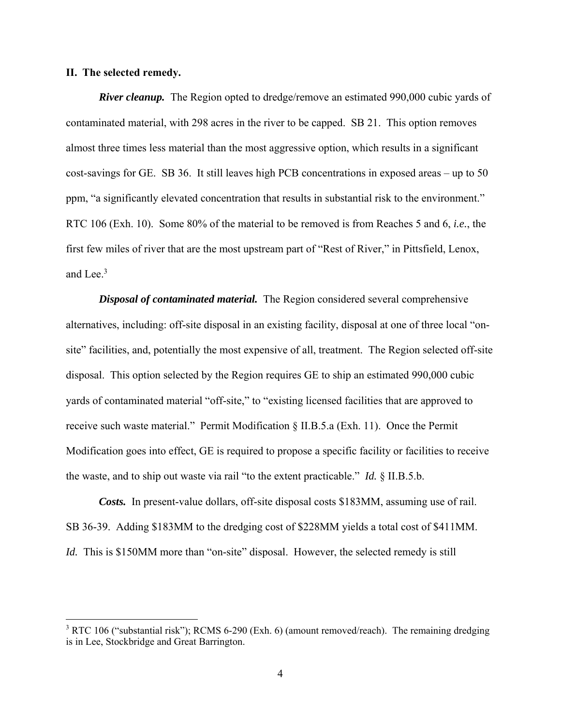### **II. The selected remedy.**

*River cleanup.* The Region opted to dredge/remove an estimated 990,000 cubic yards of contaminated material, with 298 acres in the river to be capped. SB 21. This option removes almost three times less material than the most aggressive option, which results in a significant cost-savings for GE. SB 36. It still leaves high PCB concentrations in exposed areas – up to 50 ppm, "a significantly elevated concentration that results in substantial risk to the environment." RTC 106 (Exh. 10). Some 80% of the material to be removed is from Reaches 5 and 6, *i.e.*, the first few miles of river that are the most upstream part of "Rest of River," in Pittsfield, Lenox, and Lee. $3$ 

*Disposal of contaminated material.* The Region considered several comprehensive alternatives, including: off-site disposal in an existing facility, disposal at one of three local "onsite" facilities, and, potentially the most expensive of all, treatment. The Region selected off-site disposal. This option selected by the Region requires GE to ship an estimated 990,000 cubic yards of contaminated material "off-site," to "existing licensed facilities that are approved to receive such waste material." Permit Modification § II.B.5.a (Exh. 11). Once the Permit Modification goes into effect, GE is required to propose a specific facility or facilities to receive the waste, and to ship out waste via rail "to the extent practicable." *Id.* § II.B.5.b.

*Costs.* In present-value dollars, off-site disposal costs \$183MM, assuming use of rail. SB 36-39. Adding \$183MM to the dredging cost of \$228MM yields a total cost of \$411MM. *Id.* This is \$150MM more than "on-site" disposal. However, the selected remedy is still

 $3$  RTC 106 ("substantial risk"); RCMS 6-290 (Exh. 6) (amount removed/reach). The remaining dredging is in Lee, Stockbridge and Great Barrington.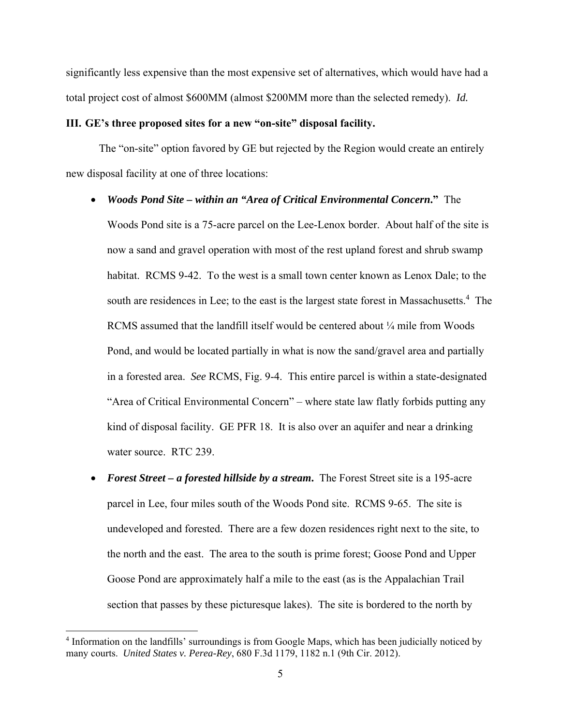significantly less expensive than the most expensive set of alternatives, which would have had a total project cost of almost \$600MM (almost \$200MM more than the selected remedy). *Id.* 

### **III. GE's three proposed sites for a new "on-site" disposal facility.**

The "on-site" option favored by GE but rejected by the Region would create an entirely new disposal facility at one of three locations:

*Woods Pond Site – within an "Area of Critical Environmental Concern***."** The

Woods Pond site is a 75-acre parcel on the Lee-Lenox border. About half of the site is now a sand and gravel operation with most of the rest upland forest and shrub swamp habitat. RCMS 9-42. To the west is a small town center known as Lenox Dale; to the south are residences in Lee; to the east is the largest state forest in Massachusetts.<sup>4</sup> The RCMS assumed that the landfill itself would be centered about  $\frac{1}{4}$  mile from Woods Pond, and would be located partially in what is now the sand/gravel area and partially in a forested area. *See* RCMS, Fig. 9-4. This entire parcel is within a state-designated "Area of Critical Environmental Concern" – where state law flatly forbids putting any kind of disposal facility. GE PFR 18. It is also over an aquifer and near a drinking water source. RTC 239.

 *Forest Street – a forested hillside by a stream***.** The Forest Street site is a 195-acre parcel in Lee, four miles south of the Woods Pond site.RCMS 9-65. The site is undeveloped and forested.There are a few dozen residences right next to the site, to the north and the east. The area to the south is prime forest; Goose Pond and Upper Goose Pond are approximately half a mile to the east (as is the Appalachian Trail section that passes by these picturesque lakes). The site is bordered to the north by

<sup>&</sup>lt;sup>4</sup> Information on the landfills' surroundings is from Google Maps, which has been judicially noticed by many courts. *United States v. Perea-Rey*, 680 F.3d 1179, 1182 n.1 (9th Cir. 2012).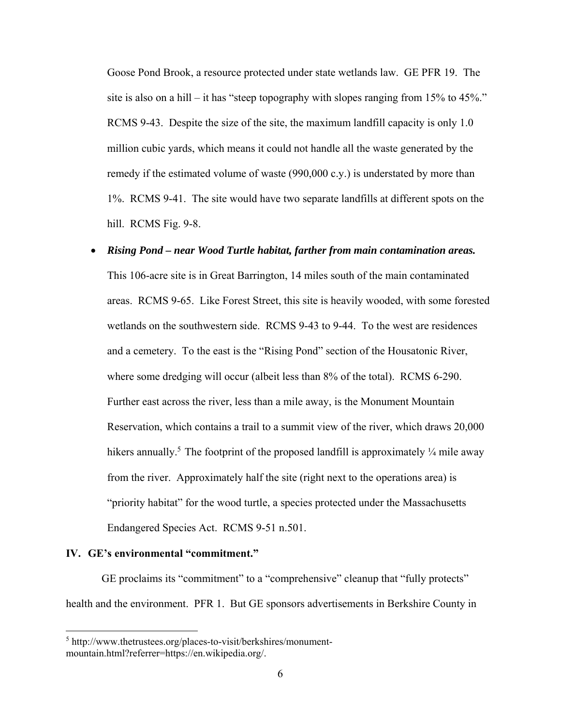Goose Pond Brook, a resource protected under state wetlands law. GE PFR 19. The site is also on a hill – it has "steep topography with slopes ranging from 15% to 45%." RCMS 9-43. Despite the size of the site, the maximum landfill capacity is only 1.0 million cubic yards, which means it could not handle all the waste generated by the remedy if the estimated volume of waste (990,000 c.y.) is understated by more than 1%. RCMS 9-41. The site would have two separate landfills at different spots on the hill. RCMS Fig. 9-8.

## *Rising Pond – near Wood Turtle habitat, farther from main contamination areas.*

This 106-acre site is in Great Barrington, 14 miles south of the main contaminated areas. RCMS 9-65. Like Forest Street, this site is heavily wooded, with some forested wetlands on the southwestern side. RCMS 9-43 to 9-44. To the west are residences and a cemetery. To the east is the "Rising Pond" section of the Housatonic River, where some dredging will occur (albeit less than 8% of the total). RCMS 6-290. Further east across the river, less than a mile away, is the Monument Mountain Reservation, which contains a trail to a summit view of the river, which draws 20,000 hikers annually.<sup>5</sup> The footprint of the proposed landfill is approximately  $\frac{1}{4}$  mile away from the river. Approximately half the site (right next to the operations area) is "priority habitat" for the wood turtle, a species protected under the Massachusetts Endangered Species Act. RCMS 9-51 n.501.

#### **IV. GE's environmental "commitment."**

GE proclaims its "commitment" to a "comprehensive" cleanup that "fully protects" health and the environment. PFR 1. But GE sponsors advertisements in Berkshire County in

<sup>&</sup>lt;sup>5</sup> http://www.thetrustees.org/places-to-visit/berkshires/monumentmountain.html?referrer=https://en.wikipedia.org/.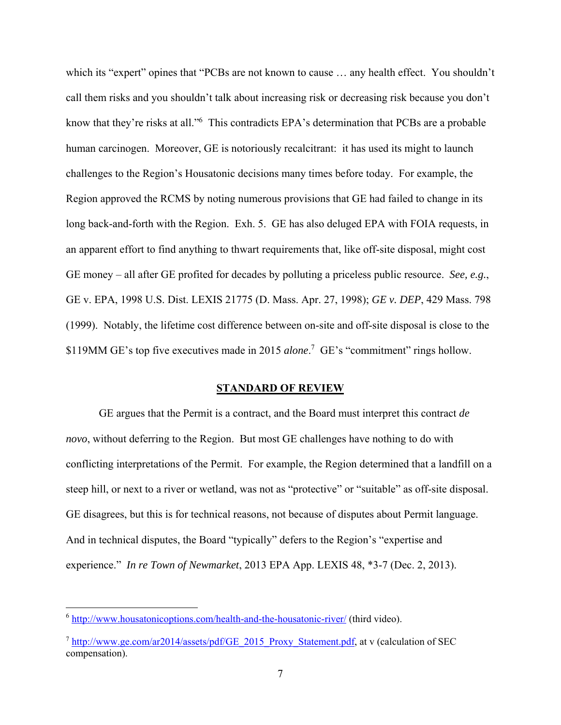which its "expert" opines that "PCBs are not known to cause ... any health effect. You shouldn't call them risks and you shouldn't talk about increasing risk or decreasing risk because you don't know that they're risks at all."<sup>6</sup> This contradicts EPA's determination that PCBs are a probable human carcinogen. Moreover, GE is notoriously recalcitrant: it has used its might to launch challenges to the Region's Housatonic decisions many times before today. For example, the Region approved the RCMS by noting numerous provisions that GE had failed to change in its long back-and-forth with the Region. Exh. 5. GE has also deluged EPA with FOIA requests, in an apparent effort to find anything to thwart requirements that, like off-site disposal, might cost GE money – all after GE profited for decades by polluting a priceless public resource. *See, e.g.*, GE v. EPA, 1998 U.S. Dist. LEXIS 21775 (D. Mass. Apr. 27, 1998); *GE v. DEP*, 429 Mass. 798 (1999). Notably, the lifetime cost difference between on-site and off-site disposal is close to the \$119MM GE's top five executives made in 2015 *alone*. 7 GE's "commitment" rings hollow.

#### **STANDARD OF REVIEW**

GE argues that the Permit is a contract, and the Board must interpret this contract *de novo*, without deferring to the Region. But most GE challenges have nothing to do with conflicting interpretations of the Permit. For example, the Region determined that a landfill on a steep hill, or next to a river or wetland, was not as "protective" or "suitable" as off-site disposal. GE disagrees, but this is for technical reasons, not because of disputes about Permit language. And in technical disputes, the Board "typically" defers to the Region's "expertise and experience." *In re Town of Newmarket*, 2013 EPA App. LEXIS 48, \*3-7 (Dec. 2, 2013).

<sup>6</sup> http://www.housatonicoptions.com/health-and-the-housatonic-river/ (third video).

 $^7$  http://www.ge.com/ar2014/assets/pdf/GE\_2015\_Proxy\_Statement.pdf, at v (calculation of SEC compensation).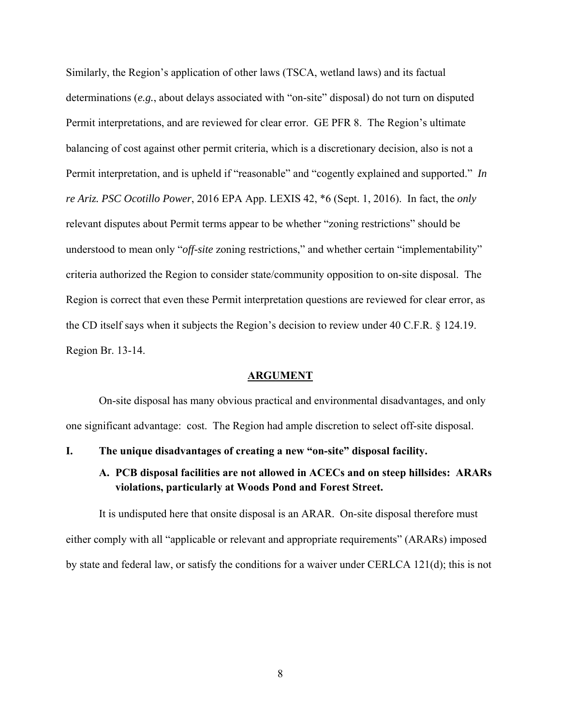Similarly, the Region's application of other laws (TSCA, wetland laws) and its factual determinations (*e.g.*, about delays associated with "on-site" disposal) do not turn on disputed Permit interpretations, and are reviewed for clear error. GE PFR 8. The Region's ultimate balancing of cost against other permit criteria, which is a discretionary decision, also is not a Permit interpretation, and is upheld if "reasonable" and "cogently explained and supported." *In re Ariz. PSC Ocotillo Power*, 2016 EPA App. LEXIS 42, \*6 (Sept. 1, 2016). In fact, the *only* relevant disputes about Permit terms appear to be whether "zoning restrictions" should be understood to mean only "*off-site* zoning restrictions," and whether certain "implementability" criteria authorized the Region to consider state/community opposition to on-site disposal. The Region is correct that even these Permit interpretation questions are reviewed for clear error, as the CD itself says when it subjects the Region's decision to review under 40 C.F.R. § 124.19. Region Br. 13-14.

#### **ARGUMENT**

On-site disposal has many obvious practical and environmental disadvantages, and only one significant advantage: cost. The Region had ample discretion to select off-site disposal.

**I. The unique disadvantages of creating a new "on-site" disposal facility.** 

## **A. PCB disposal facilities are not allowed in ACECs and on steep hillsides: ARARs violations, particularly at Woods Pond and Forest Street.**

It is undisputed here that onsite disposal is an ARAR. On-site disposal therefore must either comply with all "applicable or relevant and appropriate requirements" (ARARs) imposed by state and federal law, or satisfy the conditions for a waiver under CERLCA 121(d); this is not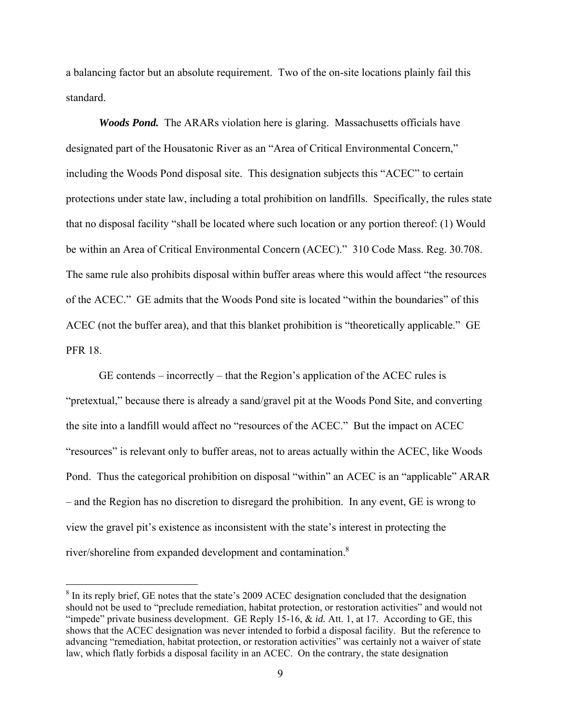a balancing factor but an absolute requirement. Two of the on-site locations plainly fail this standard.

*Woods Pond.* The ARARs violation here is glaring. Massachusetts officials have designated part of the Housatonic River as an "Area of Critical Environmental Concern," including the Woods Pond disposal site. This designation subjects this "ACEC" to certain protections under state law, including a total prohibition on landfills. Specifically, the rules state that no disposal facility "shall be located where such location or any portion thereof: (1) Would be within an Area of Critical Environmental Concern (ACEC)." 310 Code Mass. Reg. 30.708. The same rule also prohibits disposal within buffer areas where this would affect "the resources of the ACEC." GE admits that the Woods Pond site is located "within the boundaries" of this ACEC (not the buffer area), and that this blanket prohibition is "theoretically applicable." GE PFR 18.

GE contends – incorrectly – that the Region's application of the ACEC rules is "pretextual," because there is already a sand/gravel pit at the Woods Pond Site, and converting the site into a landfill would affect no "resources of the ACEC." But the impact on ACEC "resources" is relevant only to buffer areas, not to areas actually within the ACEC, like Woods Pond. Thus the categorical prohibition on disposal "within" an ACEC is an "applicable" ARAR – and the Region has no discretion to disregard the prohibition. In any event, GE is wrong to view the gravel pit's existence as inconsistent with the state's interest in protecting the river/shoreline from expanded development and contamination.8

 $8$  In its reply brief, GE notes that the state's 2009 ACEC designation concluded that the designation should not be used to "preclude remediation, habitat protection, or restoration activities" and would not "impede" private business development. GE Reply 15-16, & *id.* Att. 1, at 17. According to GE, this shows that the ACEC designation was never intended to forbid a disposal facility. But the reference to advancing "remediation, habitat protection, or restoration activities" was certainly not a waiver of state law, which flatly forbids a disposal facility in an ACEC. On the contrary, the state designation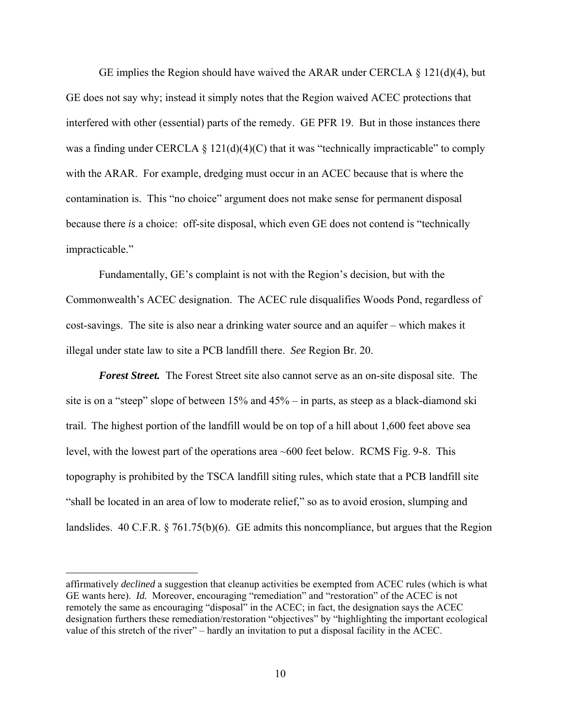GE implies the Region should have waived the ARAR under CERCLA  $\S$  121(d)(4), but GE does not say why; instead it simply notes that the Region waived ACEC protections that interfered with other (essential) parts of the remedy. GE PFR 19. But in those instances there was a finding under CERCLA  $\S 121(d)(4)(C)$  that it was "technically impracticable" to comply with the ARAR. For example, dredging must occur in an ACEC because that is where the contamination is. This "no choice" argument does not make sense for permanent disposal because there *is* a choice: off-site disposal, which even GE does not contend is "technically impracticable."

Fundamentally, GE's complaint is not with the Region's decision, but with the Commonwealth's ACEC designation. The ACEC rule disqualifies Woods Pond, regardless of cost-savings. The site is also near a drinking water source and an aquifer – which makes it illegal under state law to site a PCB landfill there. *See* Region Br. 20.

*Forest Street.* The Forest Street site also cannot serve as an on-site disposal site. The site is on a "steep" slope of between  $15\%$  and  $45\%$  – in parts, as steep as a black-diamond ski trail. The highest portion of the landfill would be on top of a hill about 1,600 feet above sea level, with the lowest part of the operations area ~600 feet below. RCMS Fig. 9-8. This topography is prohibited by the TSCA landfill siting rules, which state that a PCB landfill site "shall be located in an area of low to moderate relief," so as to avoid erosion, slumping and landslides. 40 C.F.R. § 761.75(b)(6). GE admits this noncompliance, but argues that the Region

affirmatively *declined* a suggestion that cleanup activities be exempted from ACEC rules (which is what GE wants here). *Id.* Moreover, encouraging "remediation" and "restoration" of the ACEC is not remotely the same as encouraging "disposal" in the ACEC; in fact, the designation says the ACEC designation furthers these remediation/restoration "objectives" by "highlighting the important ecological value of this stretch of the river" – hardly an invitation to put a disposal facility in the ACEC.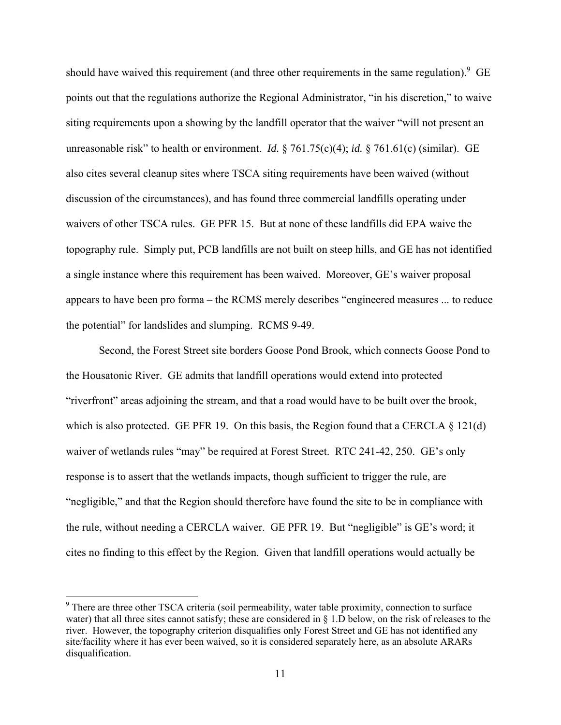should have waived this requirement (and three other requirements in the same regulation). <sup>9</sup> GE points out that the regulations authorize the Regional Administrator, "in his discretion," to waive siting requirements upon a showing by the landfill operator that the waiver "will not present an unreasonable risk" to health or environment. *Id.* § 761.75(c)(4); *id.* § 761.61(c) (similar). GE also cites several cleanup sites where TSCA siting requirements have been waived (without discussion of the circumstances), and has found three commercial landfills operating under waivers of other TSCA rules. GE PFR 15. But at none of these landfills did EPA waive the topography rule. Simply put, PCB landfills are not built on steep hills, and GE has not identified a single instance where this requirement has been waived. Moreover, GE's waiver proposal appears to have been pro forma – the RCMS merely describes "engineered measures ... to reduce the potential" for landslides and slumping. RCMS 9-49.

Second, the Forest Street site borders Goose Pond Brook, which connects Goose Pond to the Housatonic River. GE admits that landfill operations would extend into protected "riverfront" areas adjoining the stream, and that a road would have to be built over the brook, which is also protected. GE PFR 19. On this basis, the Region found that a CERCLA  $\S$  121(d) waiver of wetlands rules "may" be required at Forest Street. RTC 241-42, 250. GE's only response is to assert that the wetlands impacts, though sufficient to trigger the rule, are "negligible," and that the Region should therefore have found the site to be in compliance with the rule, without needing a CERCLA waiver. GE PFR 19. But "negligible" is GE's word; it cites no finding to this effect by the Region. Given that landfill operations would actually be

<sup>&</sup>lt;sup>9</sup> There are three other TSCA criteria (soil permeability, water table proximity, connection to surface water) that all three sites cannot satisfy; these are considered in § 1.D below, on the risk of releases to the river. However, the topography criterion disqualifies only Forest Street and GE has not identified any site/facility where it has ever been waived, so it is considered separately here, as an absolute ARARs disqualification.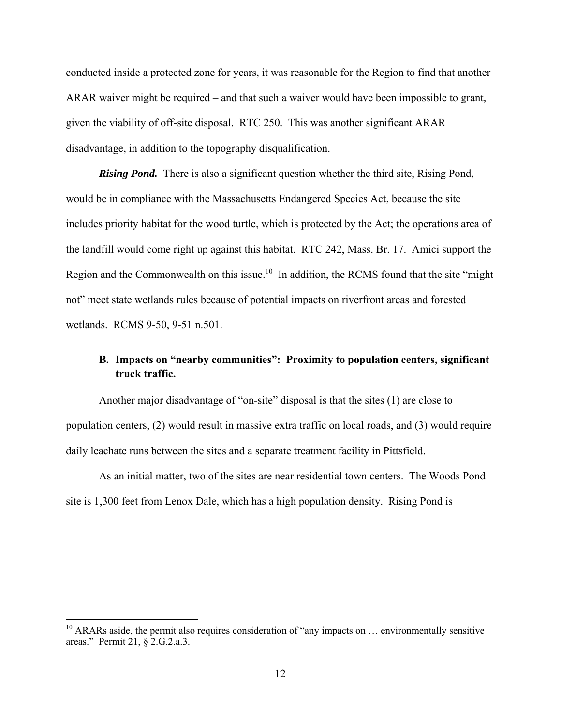conducted inside a protected zone for years, it was reasonable for the Region to find that another ARAR waiver might be required – and that such a waiver would have been impossible to grant, given the viability of off-site disposal. RTC 250. This was another significant ARAR disadvantage, in addition to the topography disqualification.

*Rising Pond.* There is also a significant question whether the third site, Rising Pond, would be in compliance with the Massachusetts Endangered Species Act, because the site includes priority habitat for the wood turtle, which is protected by the Act; the operations area of the landfill would come right up against this habitat. RTC 242, Mass. Br. 17. Amici support the Region and the Commonwealth on this issue.<sup>10</sup> In addition, the RCMS found that the site "might" not" meet state wetlands rules because of potential impacts on riverfront areas and forested wetlands. RCMS 9-50, 9-51 n.501.

## **B. Impacts on "nearby communities": Proximity to population centers, significant truck traffic.**

Another major disadvantage of "on-site" disposal is that the sites (1) are close to population centers, (2) would result in massive extra traffic on local roads, and (3) would require daily leachate runs between the sites and a separate treatment facility in Pittsfield.

As an initial matter, two of the sites are near residential town centers. The Woods Pond site is 1,300 feet from Lenox Dale, which has a high population density. Rising Pond is

 $10$  ARARs aside, the permit also requires consideration of "any impacts on  $\ldots$  environmentally sensitive areas." Permit 21, § 2.G.2.a.3.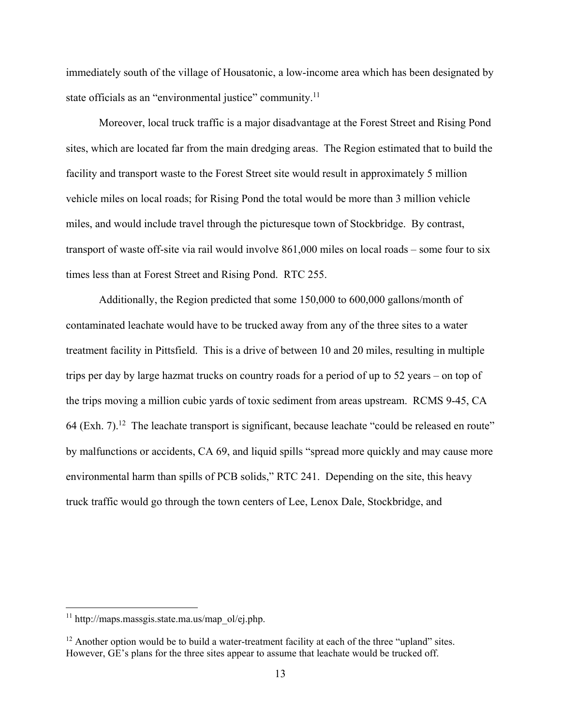immediately south of the village of Housatonic, a low-income area which has been designated by state officials as an "environmental justice" community.<sup>11</sup>

Moreover, local truck traffic is a major disadvantage at the Forest Street and Rising Pond sites, which are located far from the main dredging areas. The Region estimated that to build the facility and transport waste to the Forest Street site would result in approximately 5 million vehicle miles on local roads; for Rising Pond the total would be more than 3 million vehicle miles, and would include travel through the picturesque town of Stockbridge. By contrast, transport of waste off-site via rail would involve 861,000 miles on local roads – some four to six times less than at Forest Street and Rising Pond. RTC 255.

Additionally, the Region predicted that some 150,000 to 600,000 gallons/month of contaminated leachate would have to be trucked away from any of the three sites to a water treatment facility in Pittsfield. This is a drive of between 10 and 20 miles, resulting in multiple trips per day by large hazmat trucks on country roads for a period of up to 52 years – on top of the trips moving a million cubic yards of toxic sediment from areas upstream. RCMS 9-45, CA 64 (Exh.  $7$ ).<sup>12</sup> The leachate transport is significant, because leachate "could be released en route" by malfunctions or accidents, CA 69, and liquid spills "spread more quickly and may cause more environmental harm than spills of PCB solids," RTC 241. Depending on the site, this heavy truck traffic would go through the town centers of Lee, Lenox Dale, Stockbridge, and

 $11$  http://maps.massgis.state.ma.us/map\_ol/ej.php.

 $12$  Another option would be to build a water-treatment facility at each of the three "upland" sites. However, GE's plans for the three sites appear to assume that leachate would be trucked off.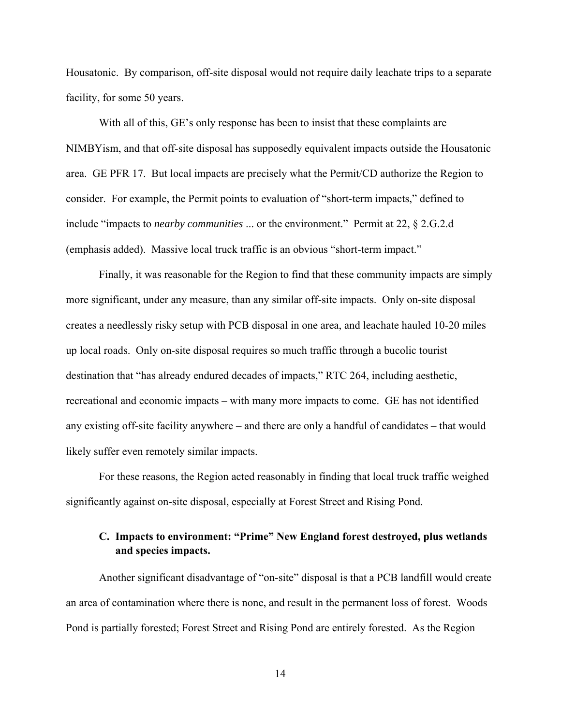Housatonic. By comparison, off-site disposal would not require daily leachate trips to a separate facility, for some 50 years.

With all of this, GE's only response has been to insist that these complaints are NIMBYism, and that off-site disposal has supposedly equivalent impacts outside the Housatonic area. GE PFR 17. But local impacts are precisely what the Permit/CD authorize the Region to consider. For example, the Permit points to evaluation of "short-term impacts," defined to include "impacts to *nearby communities* ... or the environment." Permit at 22, § 2.G.2.d (emphasis added). Massive local truck traffic is an obvious "short-term impact."

Finally, it was reasonable for the Region to find that these community impacts are simply more significant, under any measure, than any similar off-site impacts. Only on-site disposal creates a needlessly risky setup with PCB disposal in one area, and leachate hauled 10-20 miles up local roads. Only on-site disposal requires so much traffic through a bucolic tourist destination that "has already endured decades of impacts," RTC 264, including aesthetic, recreational and economic impacts – with many more impacts to come. GE has not identified any existing off-site facility anywhere – and there are only a handful of candidates – that would likely suffer even remotely similar impacts.

For these reasons, the Region acted reasonably in finding that local truck traffic weighed significantly against on-site disposal, especially at Forest Street and Rising Pond.

## **C. Impacts to environment: "Prime" New England forest destroyed, plus wetlands and species impacts.**

Another significant disadvantage of "on-site" disposal is that a PCB landfill would create an area of contamination where there is none, and result in the permanent loss of forest. Woods Pond is partially forested; Forest Street and Rising Pond are entirely forested. As the Region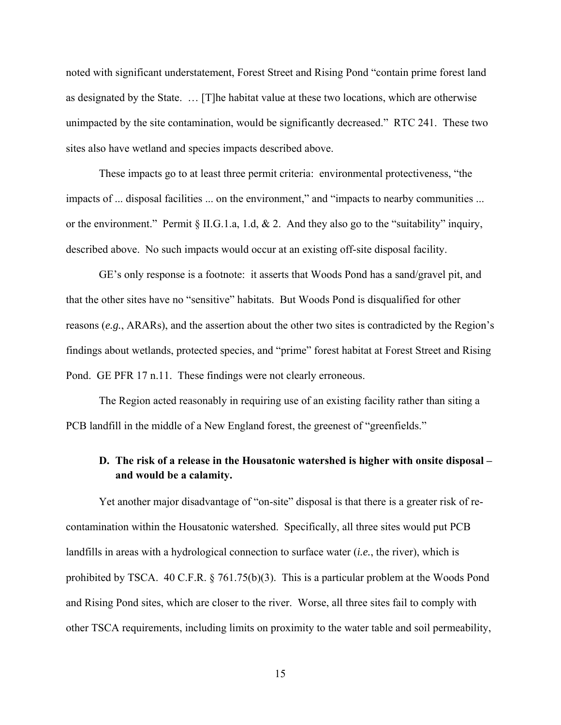noted with significant understatement, Forest Street and Rising Pond "contain prime forest land as designated by the State. … [T]he habitat value at these two locations, which are otherwise unimpacted by the site contamination, would be significantly decreased." RTC 241. These two sites also have wetland and species impacts described above.

These impacts go to at least three permit criteria: environmental protectiveness, "the impacts of ... disposal facilities ... on the environment," and "impacts to nearby communities ... or the environment." Permit § II.G.1.a, 1.d, & 2. And they also go to the "suitability" inquiry, described above. No such impacts would occur at an existing off-site disposal facility.

GE's only response is a footnote: it asserts that Woods Pond has a sand/gravel pit, and that the other sites have no "sensitive" habitats. But Woods Pond is disqualified for other reasons (*e.g.*, ARARs), and the assertion about the other two sites is contradicted by the Region's findings about wetlands, protected species, and "prime" forest habitat at Forest Street and Rising Pond. GE PFR 17 n.11. These findings were not clearly erroneous.

The Region acted reasonably in requiring use of an existing facility rather than siting a PCB landfill in the middle of a New England forest, the greenest of "greenfields."

## **D. The risk of a release in the Housatonic watershed is higher with onsite disposal – and would be a calamity.**

Yet another major disadvantage of "on-site" disposal is that there is a greater risk of recontamination within the Housatonic watershed. Specifically, all three sites would put PCB landfills in areas with a hydrological connection to surface water (*i.e.*, the river), which is prohibited by TSCA. 40 C.F.R. § 761.75(b)(3). This is a particular problem at the Woods Pond and Rising Pond sites, which are closer to the river. Worse, all three sites fail to comply with other TSCA requirements, including limits on proximity to the water table and soil permeability,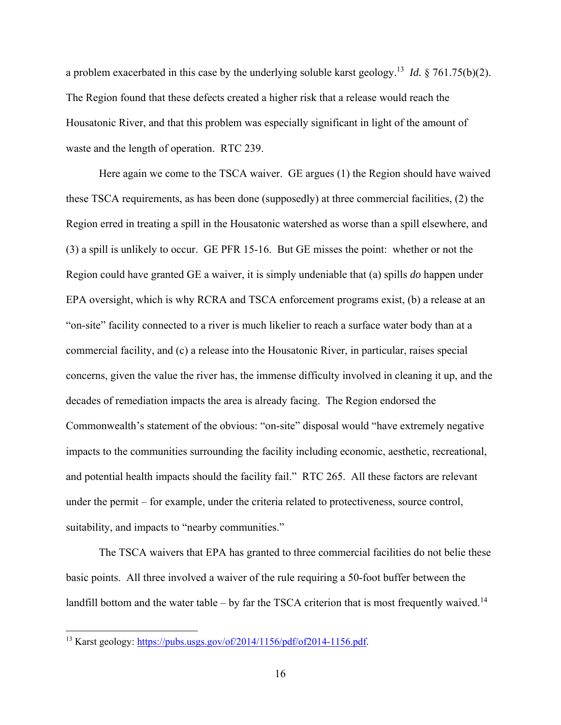a problem exacerbated in this case by the underlying soluble karst geology.13 *Id.* § 761.75(b)(2). The Region found that these defects created a higher risk that a release would reach the Housatonic River, and that this problem was especially significant in light of the amount of waste and the length of operation. RTC 239.

Here again we come to the TSCA waiver. GE argues (1) the Region should have waived these TSCA requirements, as has been done (supposedly) at three commercial facilities, (2) the Region erred in treating a spill in the Housatonic watershed as worse than a spill elsewhere, and (3) a spill is unlikely to occur. GE PFR 15-16. But GE misses the point: whether or not the Region could have granted GE a waiver, it is simply undeniable that (a) spills *do* happen under EPA oversight, which is why RCRA and TSCA enforcement programs exist, (b) a release at an "on-site" facility connected to a river is much likelier to reach a surface water body than at a commercial facility, and (c) a release into the Housatonic River, in particular, raises special concerns, given the value the river has, the immense difficulty involved in cleaning it up, and the decades of remediation impacts the area is already facing. The Region endorsed the Commonwealth's statement of the obvious: "on-site" disposal would "have extremely negative impacts to the communities surrounding the facility including economic, aesthetic, recreational, and potential health impacts should the facility fail." RTC 265. All these factors are relevant under the permit – for example, under the criteria related to protectiveness, source control, suitability, and impacts to "nearby communities."

The TSCA waivers that EPA has granted to three commercial facilities do not belie these basic points. All three involved a waiver of the rule requiring a 50-foot buffer between the landfill bottom and the water table – by far the TSCA criterion that is most frequently waived.<sup>14</sup>

<sup>&</sup>lt;sup>13</sup> Karst geology: https://pubs.usgs.gov/of/2014/1156/pdf/of2014-1156.pdf.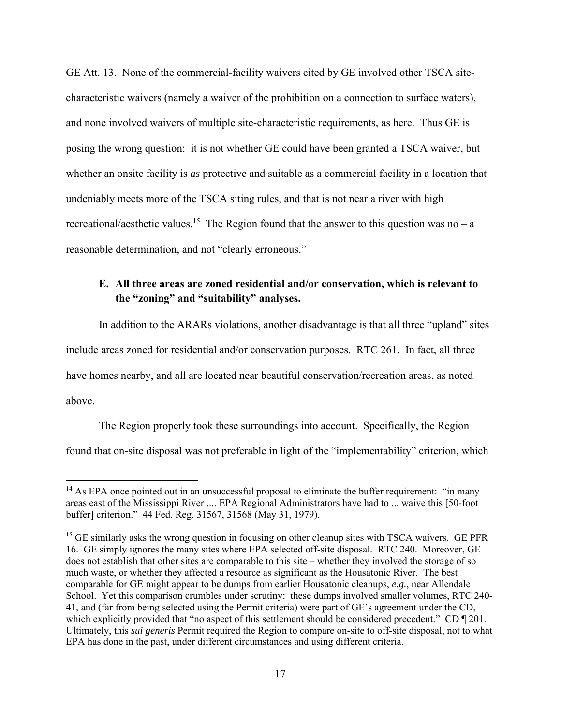GE Att. 13. None of the commercial-facility waivers cited by GE involved other TSCA sitecharacteristic waivers (namely a waiver of the prohibition on a connection to surface waters), and none involved waivers of multiple site-characteristic requirements, as here. Thus GE is posing the wrong question: it is not whether GE could have been granted a TSCA waiver, but whether an onsite facility is *as* protective and suitable as a commercial facility in a location that undeniably meets more of the TSCA siting rules, and that is not near a river with high recreational/aesthetic values.<sup>15</sup> The Region found that the answer to this question was no – a reasonable determination, and not "clearly erroneous."

## **E. All three areas are zoned residential and/or conservation, which is relevant to the "zoning" and "suitability" analyses.**

In addition to the ARARs violations, another disadvantage is that all three "upland" sites include areas zoned for residential and/or conservation purposes. RTC 261. In fact, all three have homes nearby, and all are located near beautiful conservation/recreation areas, as noted above.

The Region properly took these surroundings into account. Specifically, the Region found that on-site disposal was not preferable in light of the "implementability" criterion, which

 $14$  As EPA once pointed out in an unsuccessful proposal to eliminate the buffer requirement: "in many areas east of the Mississippi River .... EPA Regional Administrators have had to ... waive this [50-foot buffer] criterion." 44 Fed. Reg. 31567, 31568 (May 31, 1979).

<sup>&</sup>lt;sup>15</sup> GE similarly asks the wrong question in focusing on other cleanup sites with TSCA waivers. GE PFR 16. GE simply ignores the many sites where EPA selected off-site disposal. RTC 240. Moreover, GE does not establish that other sites are comparable to this site – whether they involved the storage of so much waste, or whether they affected a resource as significant as the Housatonic River. The best comparable for GE might appear to be dumps from earlier Housatonic cleanups, *e.g.*, near Allendale School. Yet this comparison crumbles under scrutiny: these dumps involved smaller volumes, RTC 240- 41, and (far from being selected using the Permit criteria) were part of GE's agreement under the CD, which explicitly provided that "no aspect of this settlement should be considered precedent." CD ¶ 201. Ultimately, this *sui generis* Permit required the Region to compare on-site to off-site disposal, not to what EPA has done in the past, under different circumstances and using different criteria.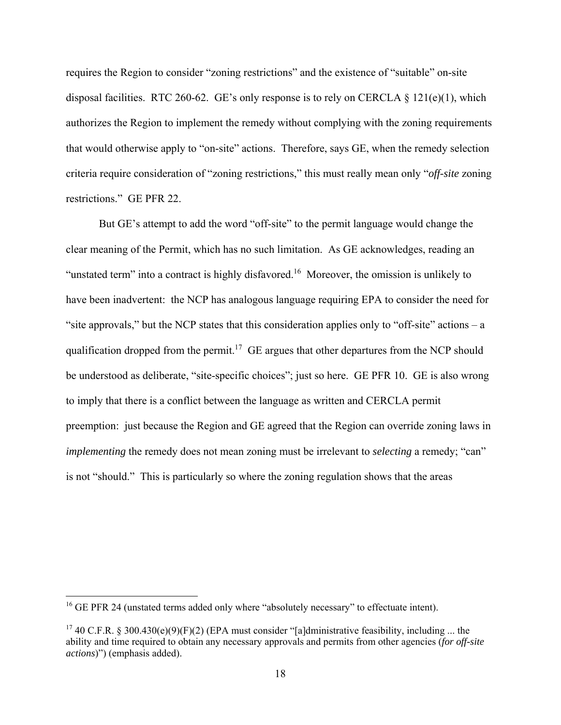requires the Region to consider "zoning restrictions" and the existence of "suitable" on-site disposal facilities. RTC 260-62. GE's only response is to rely on CERCLA  $\S$  121(e)(1), which authorizes the Region to implement the remedy without complying with the zoning requirements that would otherwise apply to "on-site" actions. Therefore, says GE, when the remedy selection criteria require consideration of "zoning restrictions," this must really mean only "*off-site* zoning restrictions." GE PFR 22.

But GE's attempt to add the word "off-site" to the permit language would change the clear meaning of the Permit, which has no such limitation. As GE acknowledges, reading an "unstated term" into a contract is highly disfavored.16 Moreover, the omission is unlikely to have been inadvertent: the NCP has analogous language requiring EPA to consider the need for "site approvals," but the NCP states that this consideration applies only to "off-site" actions  $- a$ qualification dropped from the permit.<sup>17</sup> GE argues that other departures from the NCP should be understood as deliberate, "site-specific choices"; just so here. GE PFR 10. GE is also wrong to imply that there is a conflict between the language as written and CERCLA permit preemption: just because the Region and GE agreed that the Region can override zoning laws in *implementing* the remedy does not mean zoning must be irrelevant to *selecting* a remedy; "can" is not "should." This is particularly so where the zoning regulation shows that the areas

<sup>&</sup>lt;sup>16</sup> GE PFR 24 (unstated terms added only where "absolutely necessary" to effectuate intent).

<sup>&</sup>lt;sup>17</sup> 40 C.F.R. § 300.430(e)(9)(F)(2) (EPA must consider "[a]dministrative feasibility, including ... the ability and time required to obtain any necessary approvals and permits from other agencies (*for off-site actions*)") (emphasis added).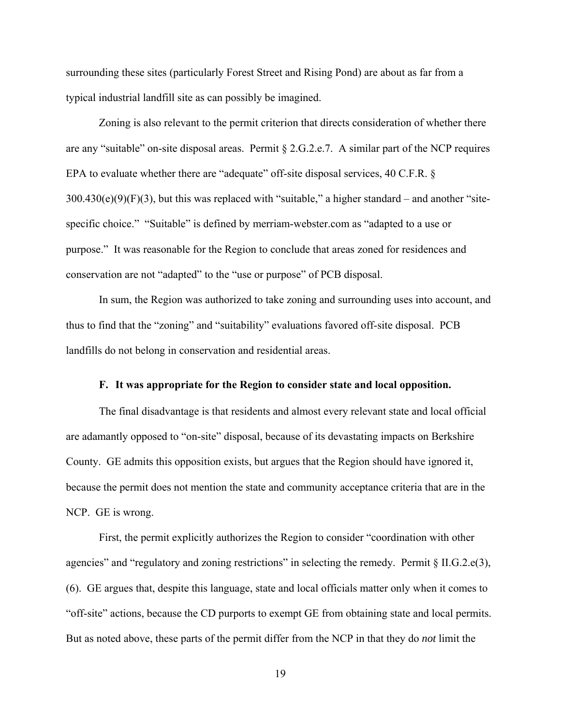surrounding these sites (particularly Forest Street and Rising Pond) are about as far from a typical industrial landfill site as can possibly be imagined.

Zoning is also relevant to the permit criterion that directs consideration of whether there are any "suitable" on-site disposal areas. Permit § 2.G.2.e.7. A similar part of the NCP requires EPA to evaluate whether there are "adequate" off-site disposal services, 40 C.F.R. §  $300.430(e)(9)(F)(3)$ , but this was replaced with "suitable," a higher standard – and another "sitespecific choice." "Suitable" is defined by merriam-webster.com as "adapted to a use or purpose." It was reasonable for the Region to conclude that areas zoned for residences and conservation are not "adapted" to the "use or purpose" of PCB disposal.

In sum, the Region was authorized to take zoning and surrounding uses into account, and thus to find that the "zoning" and "suitability" evaluations favored off-site disposal. PCB landfills do not belong in conservation and residential areas.

### **F. It was appropriate for the Region to consider state and local opposition.**

The final disadvantage is that residents and almost every relevant state and local official are adamantly opposed to "on-site" disposal, because of its devastating impacts on Berkshire County. GE admits this opposition exists, but argues that the Region should have ignored it, because the permit does not mention the state and community acceptance criteria that are in the NCP. GE is wrong.

First, the permit explicitly authorizes the Region to consider "coordination with other agencies" and "regulatory and zoning restrictions" in selecting the remedy. Permit  $\S$  II.G.2.e(3), (6). GE argues that, despite this language, state and local officials matter only when it comes to "off-site" actions, because the CD purports to exempt GE from obtaining state and local permits. But as noted above, these parts of the permit differ from the NCP in that they do *not* limit the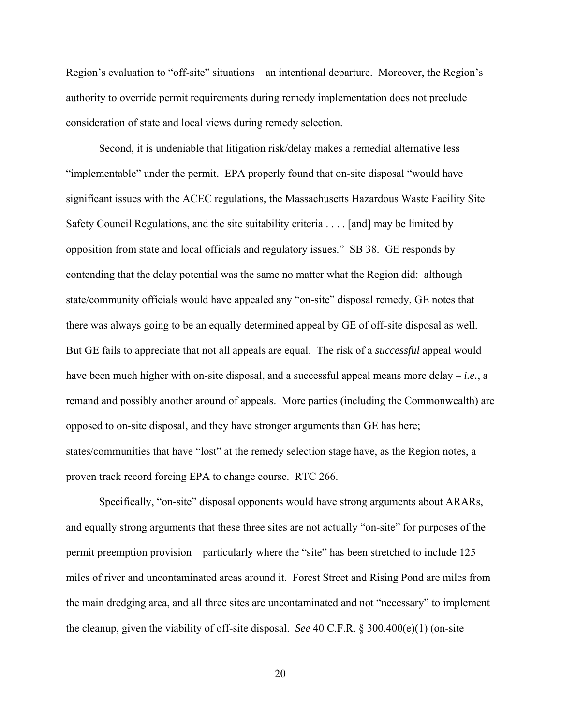Region's evaluation to "off-site" situations – an intentional departure. Moreover, the Region's authority to override permit requirements during remedy implementation does not preclude consideration of state and local views during remedy selection.

Second, it is undeniable that litigation risk/delay makes a remedial alternative less "implementable" under the permit. EPA properly found that on-site disposal "would have significant issues with the ACEC regulations, the Massachusetts Hazardous Waste Facility Site Safety Council Regulations, and the site suitability criteria . . . . [and] may be limited by opposition from state and local officials and regulatory issues." SB 38. GE responds by contending that the delay potential was the same no matter what the Region did: although state/community officials would have appealed any "on-site" disposal remedy, GE notes that there was always going to be an equally determined appeal by GE of off-site disposal as well. But GE fails to appreciate that not all appeals are equal. The risk of a *successful* appeal would have been much higher with on-site disposal, and a successful appeal means more delay – *i.e.*, a remand and possibly another around of appeals. More parties (including the Commonwealth) are opposed to on-site disposal, and they have stronger arguments than GE has here; states/communities that have "lost" at the remedy selection stage have, as the Region notes, a proven track record forcing EPA to change course. RTC 266.

Specifically, "on-site" disposal opponents would have strong arguments about ARARs, and equally strong arguments that these three sites are not actually "on-site" for purposes of the permit preemption provision – particularly where the "site" has been stretched to include 125 miles of river and uncontaminated areas around it. Forest Street and Rising Pond are miles from the main dredging area, and all three sites are uncontaminated and not "necessary" to implement the cleanup, given the viability of off-site disposal. *See* 40 C.F.R. § 300.400(e)(1) (on-site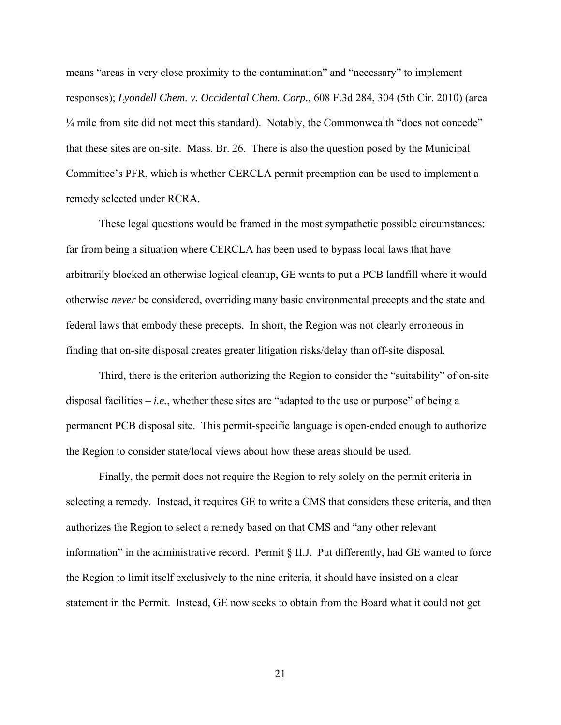means "areas in very close proximity to the contamination" and "necessary" to implement responses); *Lyondell Chem. v. Occidental Chem. Corp.*, 608 F.3d 284, 304 (5th Cir. 2010) (area <sup>1/4</sup> mile from site did not meet this standard). Notably, the Commonwealth "does not concede" that these sites are on-site. Mass. Br. 26. There is also the question posed by the Municipal Committee's PFR, which is whether CERCLA permit preemption can be used to implement a remedy selected under RCRA.

These legal questions would be framed in the most sympathetic possible circumstances: far from being a situation where CERCLA has been used to bypass local laws that have arbitrarily blocked an otherwise logical cleanup, GE wants to put a PCB landfill where it would otherwise *never* be considered, overriding many basic environmental precepts and the state and federal laws that embody these precepts. In short, the Region was not clearly erroneous in finding that on-site disposal creates greater litigation risks/delay than off-site disposal.

Third, there is the criterion authorizing the Region to consider the "suitability" of on-site disposal facilities – *i.e.*, whether these sites are "adapted to the use or purpose" of being a permanent PCB disposal site. This permit-specific language is open-ended enough to authorize the Region to consider state/local views about how these areas should be used.

Finally, the permit does not require the Region to rely solely on the permit criteria in selecting a remedy. Instead, it requires GE to write a CMS that considers these criteria, and then authorizes the Region to select a remedy based on that CMS and "any other relevant information" in the administrative record. Permit § II.J. Put differently, had GE wanted to force the Region to limit itself exclusively to the nine criteria, it should have insisted on a clear statement in the Permit. Instead, GE now seeks to obtain from the Board what it could not get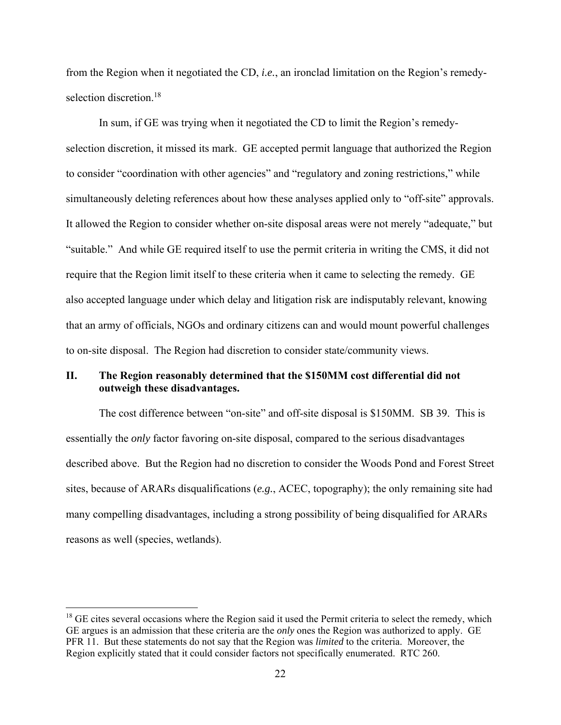from the Region when it negotiated the CD, *i.e.*, an ironclad limitation on the Region's remedyselection discretion.<sup>18</sup>

In sum, if GE was trying when it negotiated the CD to limit the Region's remedyselection discretion, it missed its mark. GE accepted permit language that authorized the Region to consider "coordination with other agencies" and "regulatory and zoning restrictions," while simultaneously deleting references about how these analyses applied only to "off-site" approvals. It allowed the Region to consider whether on-site disposal areas were not merely "adequate," but "suitable." And while GE required itself to use the permit criteria in writing the CMS, it did not require that the Region limit itself to these criteria when it came to selecting the remedy. GE also accepted language under which delay and litigation risk are indisputably relevant, knowing that an army of officials, NGOs and ordinary citizens can and would mount powerful challenges to on-site disposal. The Region had discretion to consider state/community views.

## **II. The Region reasonably determined that the \$150MM cost differential did not outweigh these disadvantages.**

The cost difference between "on-site" and off-site disposal is \$150MM. SB 39. This is essentially the *only* factor favoring on-site disposal, compared to the serious disadvantages described above. But the Region had no discretion to consider the Woods Pond and Forest Street sites, because of ARARs disqualifications (*e.g.*, ACEC, topography); the only remaining site had many compelling disadvantages, including a strong possibility of being disqualified for ARARs reasons as well (species, wetlands).

 $18$  GE cites several occasions where the Region said it used the Permit criteria to select the remedy, which GE argues is an admission that these criteria are the *only* ones the Region was authorized to apply. GE PFR 11. But these statements do not say that the Region was *limited* to the criteria. Moreover, the Region explicitly stated that it could consider factors not specifically enumerated. RTC 260.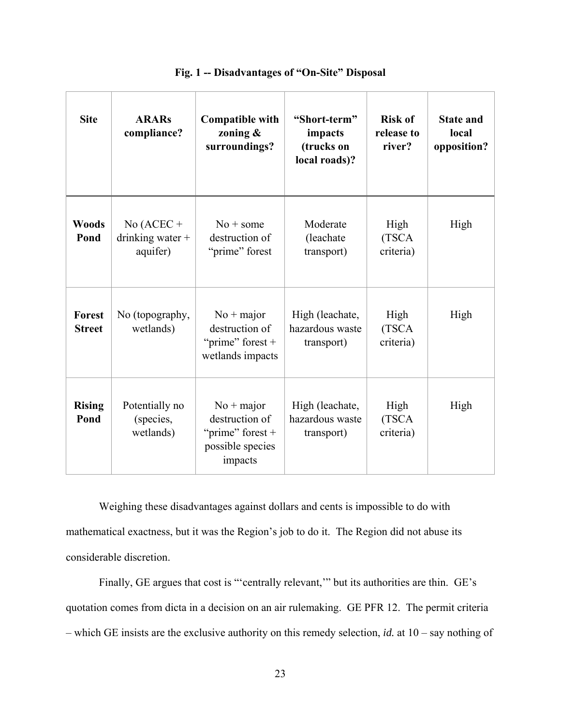| <b>Site</b>             | <b>ARARs</b><br>compliance?                                                                                                            | "Short-term"<br><b>Compatible with</b><br>zoning &<br>impacts<br>surroundings?<br>(trucks on<br>river?<br>local roads)?      |                                                  | <b>Risk of</b><br>release to | <b>State and</b><br>local<br>opposition? |
|-------------------------|----------------------------------------------------------------------------------------------------------------------------------------|------------------------------------------------------------------------------------------------------------------------------|--------------------------------------------------|------------------------------|------------------------------------------|
| <b>Woods</b><br>Pond    | No $(ACEC +$<br>Moderate<br>$No + some$<br>destruction of<br>drinking water +<br>(leachate<br>aquifer)<br>"prime" forest<br>transport) |                                                                                                                              | High<br>(TSCA<br>criteria)                       | High                         |                                          |
| Forest<br><b>Street</b> | No (topography,<br>wetlands)                                                                                                           | $No + major$<br>High (leachate,<br>destruction of<br>hazardous waste<br>"prime" forest $+$<br>transport)<br>wetlands impacts |                                                  | High<br>(TSCA<br>criteria)   | High                                     |
| <b>Rising</b><br>Pond   | Potentially no<br>$No + major$<br>destruction of<br>(species,<br>wetlands)<br>"prime" forest $+$<br>possible species<br>impacts        |                                                                                                                              | High (leachate,<br>hazardous waste<br>transport) | High<br>(TSCA<br>criteria)   | High                                     |

|  | Fig. 1 -- Disadvantages of "On-Site" Disposal |  |  |
|--|-----------------------------------------------|--|--|
|  |                                               |  |  |

Weighing these disadvantages against dollars and cents is impossible to do with mathematical exactness, but it was the Region's job to do it. The Region did not abuse its considerable discretion.

Finally, GE argues that cost is "'centrally relevant,'" but its authorities are thin. GE's quotation comes from dicta in a decision on an air rulemaking. GE PFR 12. The permit criteria – which GE insists are the exclusive authority on this remedy selection, *id.* at 10 – say nothing of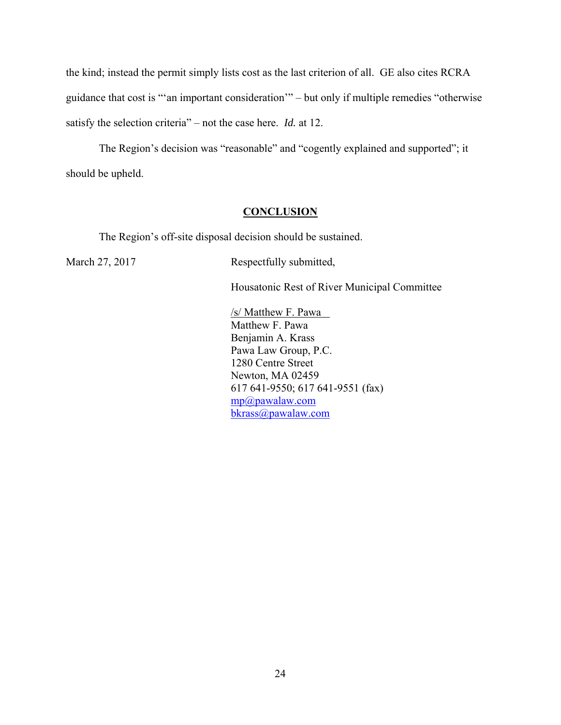the kind; instead the permit simply lists cost as the last criterion of all. GE also cites RCRA guidance that cost is "'an important consideration'" – but only if multiple remedies "otherwise satisfy the selection criteria" – not the case here. *Id.* at 12.

The Region's decision was "reasonable" and "cogently explained and supported"; it should be upheld.

### **CONCLUSION**

The Region's off-site disposal decision should be sustained.

March 27, 2017 Respectfully submitted,

Housatonic Rest of River Municipal Committee

 /s/ Matthew F. Pawa Matthew F. Pawa Benjamin A. Krass Pawa Law Group, P.C. 1280 Centre Street Newton, MA 02459 617 641-9550; 617 641-9551 (fax) mp@pawalaw.com bkrass@pawalaw.com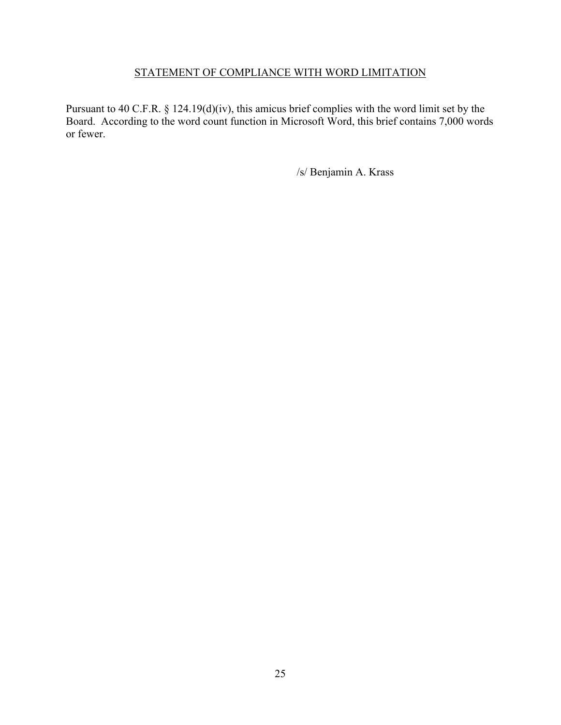## STATEMENT OF COMPLIANCE WITH WORD LIMITATION

Pursuant to 40 C.F.R. § 124.19(d)(iv), this amicus brief complies with the word limit set by the Board. According to the word count function in Microsoft Word, this brief contains 7,000 words or fewer.

/s/ Benjamin A. Krass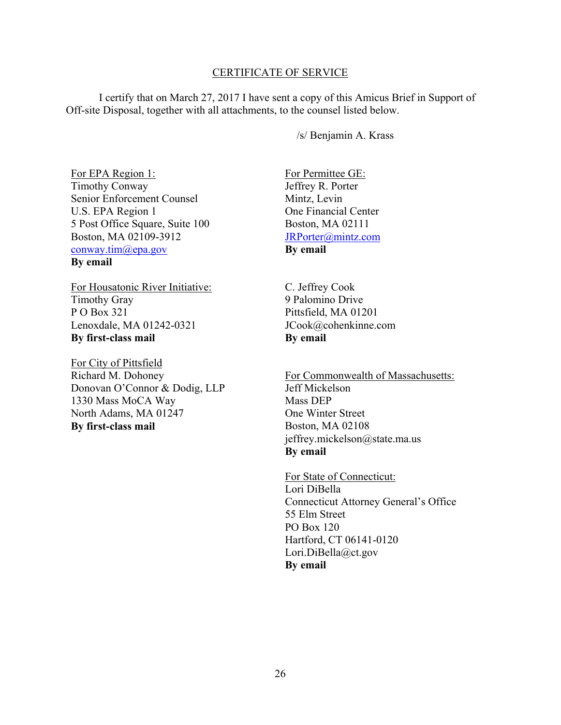### CERTIFICATE OF SERVICE

I certify that on March 27, 2017 I have sent a copy of this Amicus Brief in Support of Off-site Disposal, together with all attachments, to the counsel listed below.

/s/ Benjamin A. Krass

For EPA Region 1: Timothy Conway Senior Enforcement Counsel U.S. EPA Region 1 5 Post Office Square, Suite 100 Boston, MA 02109-3912 conway.tim@epa.gov

**By email** 

For Housatonic River Initiative: Timothy Gray P O Box 321 Lenoxdale, MA 01242-0321 **By first-class mail** 

For City of Pittsfield Richard M. Dohoney Donovan O'Connor & Dodig, LLP 1330 Mass MoCA Way North Adams, MA 01247 **By first-class mail** 

For Permittee GE: Jeffrey R. Porter Mintz, Levin One Financial Center Boston, MA 02111 JRPorter@mintz.com **By email** 

C. Jeffrey Cook 9 Palomino Drive Pittsfield, MA 01201 JCook@cohenkinne.com **By email** 

For Commonwealth of Massachusetts: Jeff Mickelson Mass DEP One Winter Street Boston, MA 02108 jeffrey.mickelson@state.ma.us **By email** 

For State of Connecticut: Lori DiBella Connecticut Attorney General's Office 55 Elm Street PO Box 120 Hartford, CT 06141-0120 Lori.DiBella@ct.gov **By email**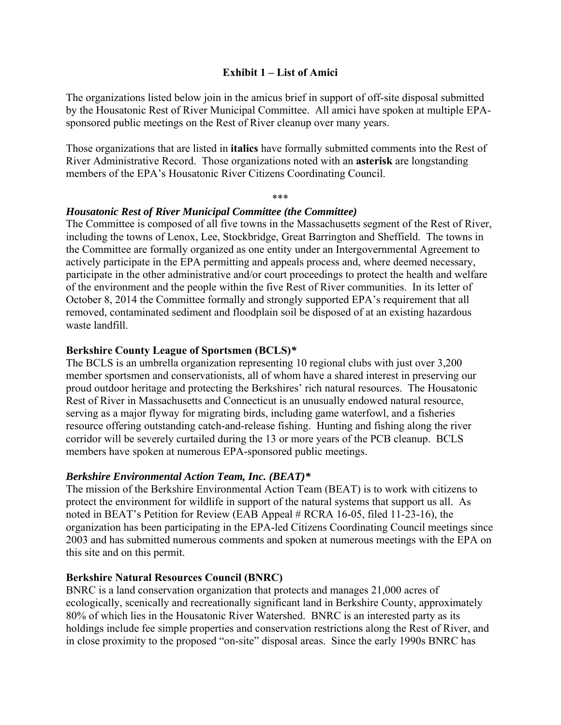### **Exhibit 1 – List of Amici**

The organizations listed below join in the amicus brief in support of off-site disposal submitted by the Housatonic Rest of River Municipal Committee. All amici have spoken at multiple EPAsponsored public meetings on the Rest of River cleanup over many years.

Those organizations that are listed in **italics** have formally submitted comments into the Rest of River Administrative Record. Those organizations noted with an **asterisk** are longstanding members of the EPA's Housatonic River Citizens Coordinating Council.

\*\*\*

### *Housatonic Rest of River Municipal Committee (the Committee)*

The Committee is composed of all five towns in the Massachusetts segment of the Rest of River, including the towns of Lenox, Lee, Stockbridge, Great Barrington and Sheffield. The towns in the Committee are formally organized as one entity under an Intergovernmental Agreement to actively participate in the EPA permitting and appeals process and, where deemed necessary, participate in the other administrative and/or court proceedings to protect the health and welfare of the environment and the people within the five Rest of River communities. In its letter of October 8, 2014 the Committee formally and strongly supported EPA's requirement that all removed, contaminated sediment and floodplain soil be disposed of at an existing hazardous waste landfill.

## **Berkshire County League of Sportsmen (BCLS)***\**

The BCLS is an umbrella organization representing 10 regional clubs with just over 3,200 member sportsmen and conservationists, all of whom have a shared interest in preserving our proud outdoor heritage and protecting the Berkshires' rich natural resources. The Housatonic Rest of River in Massachusetts and Connecticut is an unusually endowed natural resource, serving as a major flyway for migrating birds, including game waterfowl, and a fisheries resource offering outstanding catch-and-release fishing. Hunting and fishing along the river corridor will be severely curtailed during the 13 or more years of the PCB cleanup. BCLS members have spoken at numerous EPA-sponsored public meetings.

## *Berkshire Environmental Action Team, Inc. (BEAT)\**

The mission of the Berkshire Environmental Action Team (BEAT) is to work with citizens to protect the environment for wildlife in support of the natural systems that support us all. As noted in BEAT's Petition for Review (EAB Appeal # RCRA 16-05, filed 11-23-16), the organization has been participating in the EPA-led Citizens Coordinating Council meetings since 2003 and has submitted numerous comments and spoken at numerous meetings with the EPA on this site and on this permit.

### **Berkshire Natural Resources Council (BNRC)**

BNRC is a land conservation organization that protects and manages 21,000 acres of ecologically, scenically and recreationally significant land in Berkshire County, approximately 80% of which lies in the Housatonic River Watershed. BNRC is an interested party as its holdings include fee simple properties and conservation restrictions along the Rest of River, and in close proximity to the proposed "on-site" disposal areas. Since the early 1990s BNRC has